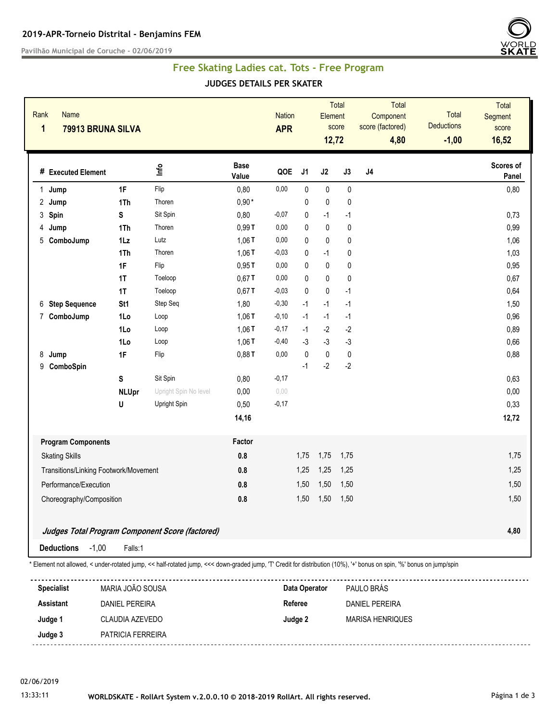**Pavilhão Municipal de Coruche - 02/06/2019**



## **Free Skating Ladies cat. Tots - Free Program**

**JUDGES DETAILS PER SKATER**

| Rank<br>1 | <b>Name</b><br>79913 BRUNA SILVA                |                |                       |                      | <b>Nation</b><br><b>APR</b> |                | Element<br>12,72 | <b>Total</b><br>score | Total<br>Component<br>score (factored)<br>4,80 | Total<br><b>Deductions</b><br>$-1,00$ | Total<br>Segment<br>score<br>16,52 |
|-----------|-------------------------------------------------|----------------|-----------------------|----------------------|-----------------------------|----------------|------------------|-----------------------|------------------------------------------------|---------------------------------------|------------------------------------|
|           | # Executed Element                              |                | lnfo                  | <b>Base</b><br>Value | QOE                         | J <sub>1</sub> | J2               | J3                    | $\sf J4$                                       |                                       | Scores of<br>Panel                 |
| 1.        | Jump                                            | 1F             | Flip                  | 0,80                 | 0,00                        | $\mathbf{0}$   | $\pmb{0}$        | $\pmb{0}$             |                                                |                                       | 0,80                               |
| 2         | Jump                                            | 1Th            | Thoren                | $0,90*$              |                             | 0              | $\pmb{0}$        | 0                     |                                                |                                       |                                    |
|           | 3 Spin                                          | S              | Sit Spin              | 0,80                 | $-0,07$                     | 0              | $-1$             | $-1$                  |                                                |                                       | 0,73                               |
| 4         | Jump                                            | 1Th            | Thoren                | 0,99T                | 0,00                        | 0              | $\mathbf{0}$     | 0                     |                                                |                                       | 0,99                               |
|           | 5 ComboJump                                     | $1\mathsf{L}z$ | Lutz                  | 1,06T                | 0,00                        | $\Omega$       | $\pmb{0}$        | 0                     |                                                |                                       | 1,06                               |
|           |                                                 | 1Th            | Thoren                | 1,06T                | $-0,03$                     | $\mathbf{0}$   | $-1$             | 0                     |                                                |                                       | 1,03                               |
|           |                                                 | 1F             | Flip                  | 0,95T                | 0,00                        | $\mathbf{0}$   | $\pmb{0}$        | 0                     |                                                |                                       | 0,95                               |
|           |                                                 | 1T             | Toeloop               | $0,67$ T             | 0,00                        | $\mathbf{0}$   | $\pmb{0}$        | 0                     |                                                |                                       | 0,67                               |
|           |                                                 | 1T             | Toeloop               | $0,67$ T             | $-0,03$                     | $\mathbf{0}$   | $\pmb{0}$        | $-1$                  |                                                |                                       | 0,64                               |
|           | 6 Step Sequence                                 | St1            | Step Seq              | 1,80                 | $-0,30$                     | $-1$           | $-1$             | $-1$                  |                                                |                                       | 1,50                               |
|           | 7 ComboJump                                     | 1Lo            | Loop                  | 1,06T                | $-0,10$                     | $-1$           | $-1$             | $-1$                  |                                                |                                       | 0,96                               |
|           |                                                 | 1Lo            | Loop                  | 1,06T                | $-0,17$                     | $-1$           | $-2$             | $-2$                  |                                                |                                       | 0,89                               |
|           |                                                 | 1Lo            | Loop                  | 1,06T                | $-0,40$                     | $-3$           | $-3$             | $-3$                  |                                                |                                       | 0,66                               |
| 8         | Jump                                            | 1F             | Flip                  | 0,88T                | 0,00                        | $\pmb{0}$      | $\pmb{0}$        | $\pmb{0}$             |                                                |                                       | 0,88                               |
| 9         | ComboSpin                                       |                |                       |                      |                             | $-1$           | $-2$             | $-2$                  |                                                |                                       |                                    |
|           |                                                 | S              | Sit Spin              | 0,80                 | $-0,17$                     |                |                  |                       |                                                |                                       | 0,63                               |
|           |                                                 | <b>NLUpr</b>   | Upright Spin No level | 0,00                 | 0.00                        |                |                  |                       |                                                |                                       | 0,00                               |
|           |                                                 | U              | Upright Spin          | 0,50                 | $-0,17$                     |                |                  |                       |                                                |                                       | 0,33                               |
|           |                                                 |                |                       | 14,16                |                             |                |                  |                       |                                                |                                       | 12,72                              |
|           | <b>Program Components</b>                       |                |                       | Factor               |                             |                |                  |                       |                                                |                                       |                                    |
|           | <b>Skating Skills</b>                           |                |                       | 0.8                  |                             | 1,75           | 1,75             | 1,75                  |                                                |                                       | 1,75                               |
|           | Transitions/Linking Footwork/Movement           |                |                       | 0.8                  |                             | 1,25           | 1,25             | 1,25                  |                                                |                                       | 1,25                               |
|           | Performance/Execution                           |                |                       | 0.8                  |                             | 1,50           | 1,50             | 1,50                  |                                                |                                       | 1,50                               |
|           | Choreography/Composition                        |                |                       | 0.8                  |                             | 1,50           | 1,50             | 1,50                  |                                                |                                       | 1,50                               |
|           | Judges Total Program Component Score (factored) |                |                       |                      |                             |                |                  |                       |                                                |                                       | 4,80                               |
|           | <b>Deductions</b><br>$-1,00$                    | Falls:1        |                       |                      |                             |                |                  |                       |                                                |                                       |                                    |

| <b>Specialist</b> | MARIA JOÃO SOUSA      | Data Operator | PAULO BRÁS       |
|-------------------|-----------------------|---------------|------------------|
| <b>Assistant</b>  | <b>DANIEL PEREIRA</b> | Referee       | DANIEL PEREIRA   |
| Judge 1           | CLAUDIA AZEVEDO       | Judge 2       | MARISA HENRIQUES |
| Judge 3           | PATRICIA FERREIRA     |               |                  |

02/06/2019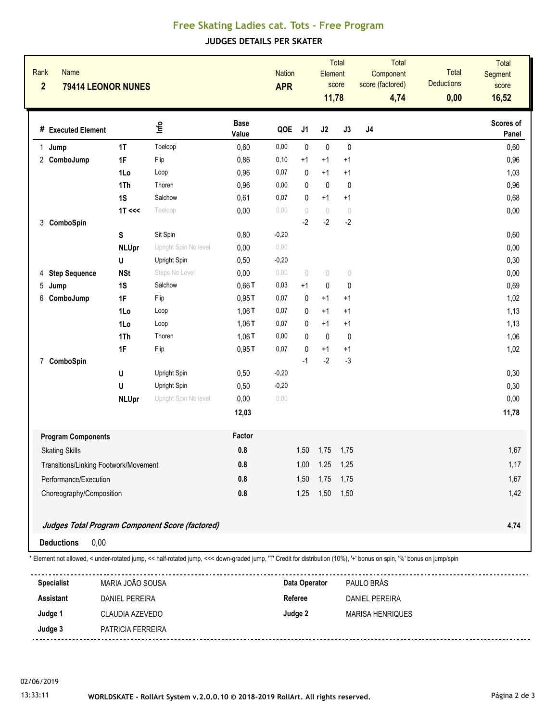## **Free Skating Ladies cat. Tots - Free Program**

**JUDGES DETAILS PER SKATER**

|   | Rank<br><b>Name</b><br>$\overline{2}$<br>79414 LEONOR NUNES |              |                                                 |                      |         | <b>Nation</b><br><b>APR</b>      |             | <b>Total</b><br>Element<br>score<br>11,78 | Total<br>Component<br>score (factored)<br>4,74 | Total<br><b>Deductions</b><br>0,00 | Total<br>Segment<br>score<br>16,52 |
|---|-------------------------------------------------------------|--------------|-------------------------------------------------|----------------------|---------|----------------------------------|-------------|-------------------------------------------|------------------------------------------------|------------------------------------|------------------------------------|
|   | # Executed Element                                          |              | Info                                            | <b>Base</b><br>Value | QOE     | J <sub>1</sub>                   | J2          | J3                                        | J <sub>4</sub>                                 |                                    | Scores of<br>Panel                 |
| 1 | Jump                                                        | 1T           | Toeloop                                         | 0,60                 | 0,00    | 0                                | $\pmb{0}$   | $\pmb{0}$                                 |                                                |                                    | 0,60                               |
|   | 2 ComboJump                                                 | 1F           | Flip                                            | 0,86                 | 0,10    | $+1$                             | $+1$        | $+1$                                      |                                                |                                    | 0,96                               |
|   |                                                             | 1Lo          | Loop                                            | 0,96                 | 0,07    | 0                                | $+1$        | $+1$                                      |                                                |                                    | 1,03                               |
|   |                                                             | 1Th          | Thoren                                          | 0,96                 | 0,00    | 0                                | $\pmb{0}$   | $\pmb{0}$                                 |                                                |                                    | 0,96                               |
|   |                                                             | 1S           | Salchow                                         | 0,61                 | 0,07    | 0                                | $+1$        | $+1$                                      |                                                |                                    | 0,68                               |
|   |                                                             | $1T \ll $    | Toeloop                                         | 0,00                 | 0,00    | $\begin{array}{c} \n\end{array}$ | $\bigcirc$  | $\circ$                                   |                                                |                                    | 0,00                               |
| 3 | ComboSpin                                                   |              |                                                 |                      |         | $-2$                             | $-2$        | $-2$                                      |                                                |                                    |                                    |
|   |                                                             | S            | Sit Spin                                        | 0,80                 | $-0,20$ |                                  |             |                                           |                                                |                                    | 0,60                               |
|   |                                                             | <b>NLUpr</b> | Upright Spin No level                           | 0,00                 | 0,00    |                                  |             |                                           |                                                |                                    | 0,00                               |
|   |                                                             | U            | Upright Spin                                    | 0,50                 | $-0,20$ |                                  |             |                                           |                                                |                                    | 0,30                               |
| 4 | <b>Step Sequence</b>                                        | <b>NSt</b>   | Steps No Level                                  | 0,00                 | 0,00    | $\begin{array}{c} \n\end{array}$ | $\bigcirc$  | $\bigcirc$                                |                                                |                                    | 0,00                               |
| 5 | Jump                                                        | 1S           | Salchow                                         | $0,66$ T             | 0,03    | $+1$                             | $\pmb{0}$   | 0                                         |                                                |                                    | 0,69                               |
| 6 | ComboJump                                                   | 1F           | Flip                                            | 0,95T                | 0,07    | 0                                | $+1$        | $+1$                                      |                                                |                                    | 1,02                               |
|   |                                                             | 1Lo          | Loop                                            | 1,06T                | 0,07    | 0                                | $+1$        | $+1$                                      |                                                |                                    | 1,13                               |
|   |                                                             | 1Lo          | Loop                                            | 1,06T                | 0,07    | 0                                | $+1$        | $+1$                                      |                                                |                                    | 1,13                               |
|   |                                                             | 1Th          | Thoren                                          | 1,06T                | 0,00    | 0                                | $\mathbf 0$ | $\pmb{0}$                                 |                                                |                                    | 1,06                               |
|   |                                                             | 1F           | Flip                                            | 0,95T                | 0,07    | 0                                | $+1$        | $+1$                                      |                                                |                                    | 1,02                               |
|   | 7 ComboSpin                                                 |              |                                                 |                      |         | $-1$                             | $-2$        | $-3$                                      |                                                |                                    |                                    |
|   |                                                             | U            | Upright Spin                                    | 0,50                 | $-0,20$ |                                  |             |                                           |                                                |                                    | 0,30                               |
|   |                                                             | U            | Upright Spin                                    | 0,50                 | $-0,20$ |                                  |             |                                           |                                                |                                    | 0,30                               |
|   |                                                             | <b>NLUpr</b> | Upright Spin No level                           | 0,00                 | 0,00    |                                  |             |                                           |                                                |                                    | 0,00                               |
|   |                                                             |              |                                                 | 12,03                |         |                                  |             |                                           |                                                |                                    | 11,78                              |
|   | <b>Program Components</b>                                   |              |                                                 | Factor               |         |                                  |             |                                           |                                                |                                    |                                    |
|   | <b>Skating Skills</b>                                       |              |                                                 |                      |         |                                  | 1,50 1,75   | 1,75                                      |                                                |                                    | 1,67                               |
|   | Transitions/Linking Footwork/Movement                       |              |                                                 |                      |         | 1,00                             | 1,25        | 1,25                                      |                                                |                                    | 1,17                               |
|   | Performance/Execution                                       |              |                                                 | 0.8<br>$0.8\,$       |         | 1,50                             | 1,75        | 1,75                                      |                                                |                                    | 1,67                               |
|   | Choreography/Composition                                    |              |                                                 |                      |         |                                  | 1,25 1,50   | 1,50                                      |                                                |                                    | 1,42                               |
|   |                                                             |              |                                                 |                      |         |                                  |             |                                           |                                                |                                    |                                    |
|   |                                                             |              | Judges Total Program Component Score (factored) |                      |         |                                  |             |                                           |                                                |                                    | 4,74                               |
|   | 0,00<br><b>Deductions</b>                                   |              |                                                 |                      |         |                                  |             |                                           |                                                |                                    |                                    |

\* Element not allowed, < under-rotated jump, << half-rotated jump, <<< down-graded jump, 'T' Credit for distribution (10%), '+' bonus on spin, '%' bonus on jump/spin

| <b>Specialist</b> | MARIA JOÃO SOUSA  | Data Operator | PAULO BRÁS              |
|-------------------|-------------------|---------------|-------------------------|
| <b>Assistant</b>  | DANIEL PEREIRA    | Referee       | DANIFI PFRFIRA          |
| Judge 1           | CLAUDIA AZEVEDO   | Judge 2       | <b>MARISA HENRIQUES</b> |
| Judge 3           | PATRICIA FERREIRA |               |                         |
|                   |                   |               |                         |

02/06/2019